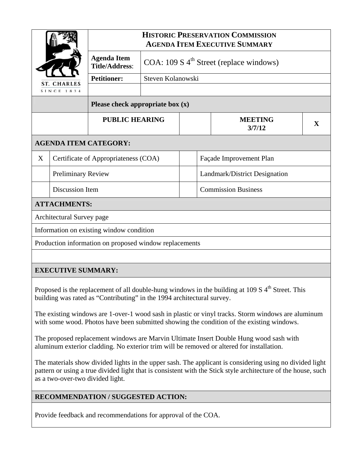| <b>ST. CHARLES</b><br>SINCE 1834                       |                    | <b>HISTORIC PRESERVATION COMMISSION</b><br><b>AGENDA ITEM EXECUTIVE SUMMARY</b> |                                                     |                         |                               |                          |   |  |  |
|--------------------------------------------------------|--------------------|---------------------------------------------------------------------------------|-----------------------------------------------------|-------------------------|-------------------------------|--------------------------|---|--|--|
|                                                        |                    | <b>Agenda Item</b><br><b>Title/Address:</b>                                     | COA: 109 S $4^{\text{th}}$ Street (replace windows) |                         |                               |                          |   |  |  |
|                                                        |                    | <b>Petitioner:</b>                                                              | Steven Kolanowski                                   |                         |                               |                          |   |  |  |
|                                                        |                    |                                                                                 |                                                     |                         |                               |                          |   |  |  |
| Please check appropriate box $(x)$                     |                    |                                                                                 |                                                     |                         |                               |                          |   |  |  |
|                                                        |                    | <b>PUBLIC HEARING</b>                                                           |                                                     |                         |                               | <b>MEETING</b><br>3/7/12 | X |  |  |
| <b>AGENDA ITEM CATEGORY:</b>                           |                    |                                                                                 |                                                     |                         |                               |                          |   |  |  |
| X                                                      |                    | Certificate of Appropriateness (COA)                                            |                                                     | Façade Improvement Plan |                               |                          |   |  |  |
|                                                        | Preliminary Review |                                                                                 |                                                     |                         | Landmark/District Designation |                          |   |  |  |
|                                                        |                    | Discussion Item                                                                 |                                                     |                         | <b>Commission Business</b>    |                          |   |  |  |
| <b>ATTACHMENTS:</b>                                    |                    |                                                                                 |                                                     |                         |                               |                          |   |  |  |
| Architectural Survey page                              |                    |                                                                                 |                                                     |                         |                               |                          |   |  |  |
| Information on existing window condition               |                    |                                                                                 |                                                     |                         |                               |                          |   |  |  |
| Production information on proposed window replacements |                    |                                                                                 |                                                     |                         |                               |                          |   |  |  |
|                                                        |                    |                                                                                 |                                                     |                         |                               |                          |   |  |  |
| <b>EXECUTIVE SUMMARY:</b>                              |                    |                                                                                 |                                                     |                         |                               |                          |   |  |  |

Proposed is the replacement of all double-hung windows in the building at 109 S  $4<sup>th</sup>$  Street. This building was rated as "Contributing" in the 1994 architectural survey.

The existing windows are 1-over-1 wood sash in plastic or vinyl tracks. Storm windows are aluminum with some wood. Photos have been submitted showing the condition of the existing windows.

The proposed replacement windows are Marvin Ultimate Insert Double Hung wood sash with aluminum exterior cladding. No exterior trim will be removed or altered for installation.

The materials show divided lights in the upper sash. The applicant is considering using no divided light pattern or using a true divided light that is consistent with the Stick style architecture of the house, such as a two-over-two divided light.

## **RECOMMENDATION / SUGGESTED ACTION:**

Provide feedback and recommendations for approval of the COA.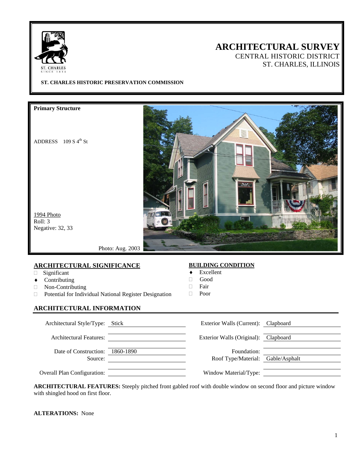

# **ARCHITECTURAL SURVEY**

CENTRAL HISTORIC DISTRICT ST. CHARLES, ILLINOIS

#### **ST. CHARLES HISTORIC PRESERVATION COMMISSION**

**Primary Structure** 

ADDRESS 109 S 4<sup>th</sup> St

1994 Photo Roll: 3 Negative: 32, 33

Photo: Aug. 2003

### **ARCHITECTURAL SIGNIFICANCE**

- Significant
- ◆ Contributing
- Non-Contributing
- Potential for Individual National Register Designation

#### **ARCHITECTURAL INFORMATION**

#### **BUILDING CONDITION**

- ◆ Excellent
- Good
- Fair
- Poor

| Architectural Style/Type: Stick    |           | Exterior Walls (Current): Clapboard  |  |
|------------------------------------|-----------|--------------------------------------|--|
| <b>Architectural Features:</b>     |           | Exterior Walls (Original): Clapboard |  |
| Date of Construction:              | 1860-1890 | Foundation:                          |  |
| Source:                            |           | Roof Type/Material: Gable/Asphalt    |  |
| <b>Overall Plan Configuration:</b> |           | Window Material/Type:                |  |

**ARCHITECTURAL FEATURES:** Steeply pitched front gabled roof with double window on second floor and picture window with shingled hood on first floor.

**ALTERATIONS:** None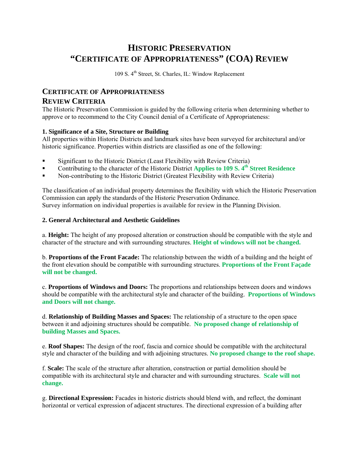# **HISTORIC PRESERVATION "CERTIFICATE OF APPROPRIATENESS" (COA) REVIEW**

109 S. 4<sup>th</sup> Street, St. Charles, IL: Window Replacement

# **CERTIFICATE OF APPROPRIATENESS REVIEW CRITERIA**

The Historic Preservation Commission is guided by the following criteria when determining whether to approve or to recommend to the City Council denial of a Certificate of Appropriateness:

### **1. Significance of a Site, Structure or Building**

All properties within Historic Districts and landmark sites have been surveyed for architectural and/or historic significance. Properties within districts are classified as one of the following:

- Significant to the Historic District (Least Flexibility with Review Criteria)
- Contributing to the character of the Historic District **Applies to 109 S. 4th Street Residence**
- Non-contributing to the Historic District (Greatest Flexibility with Review Criteria)

The classification of an individual property determines the flexibility with which the Historic Preservation Commission can apply the standards of the Historic Preservation Ordinance. Survey information on individual properties is available for review in the Planning Division.

#### **2. General Architectural and Aesthetic Guidelines**

a. **Height:** The height of any proposed alteration or construction should be compatible with the style and character of the structure and with surrounding structures. **Height of windows will not be changed.** 

b. **Proportions of the Front Facade:** The relationship between the width of a building and the height of the front elevation should be compatible with surrounding structures. **Proportions of the Front Façade will not be changed.** 

c. **Proportions of Windows and Doors:** The proportions and relationships between doors and windows should be compatible with the architectural style and character of the building. **Proportions of Windows and Doors will not change.** 

d. **Relationship of Building Masses and Spaces:** The relationship of a structure to the open space between it and adjoining structures should be compatible. **No proposed change of relationship of building Masses and Spaces.** 

e. **Roof Shapes:** The design of the roof, fascia and cornice should be compatible with the architectural style and character of the building and with adjoining structures. **No proposed change to the roof shape.** 

f. **Scale:** The scale of the structure after alteration, construction or partial demolition should be compatible with its architectural style and character and with surrounding structures. **Scale will not change.** 

g. **Directional Expression:** Facades in historic districts should blend with, and reflect, the dominant horizontal or vertical expression of adjacent structures. The directional expression of a building after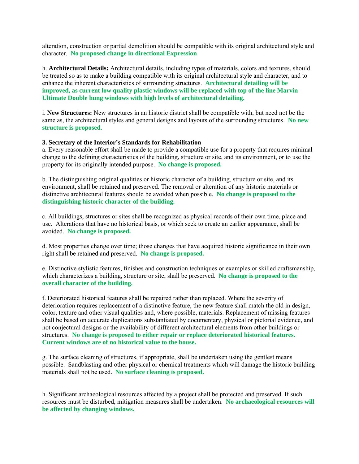alteration, construction or partial demolition should be compatible with its original architectural style and character. **No proposed change in directional Expression** 

h. **Architectural Details:** Architectural details, including types of materials, colors and textures, should be treated so as to make a building compatible with its original architectural style and character, and to enhance the inherent characteristics of surrounding structures. **Architectural detailing will be improved, as current low quality plastic windows will be replaced with top of the line Marvin Ultimate Double hung windows with high levels of architectural detailing.** 

i. **New Structures:** New structures in an historic district shall be compatible with, but need not be the same as, the architectural styles and general designs and layouts of the surrounding structures. **No new structure is proposed.** 

#### **3. Secretary of the Interior's Standards for Rehabilitation**

a. Every reasonable effort shall be made to provide a compatible use for a property that requires minimal change to the defining characteristics of the building, structure or site, and its environment, or to use the property for its originally intended purpose. **No change is proposed.** 

b. The distinguishing original qualities or historic character of a building, structure or site, and its environment, shall be retained and preserved. The removal or alteration of any historic materials or distinctive architectural features should be avoided when possible. **No change is proposed to the distinguishing historic character of the building.** 

c. All buildings, structures or sites shall be recognized as physical records of their own time, place and use. Alterations that have no historical basis, or which seek to create an earlier appearance, shall be avoided. **No change is proposed.** 

d. Most properties change over time; those changes that have acquired historic significance in their own right shall be retained and preserved. **No change is proposed.** 

e. Distinctive stylistic features, finishes and construction techniques or examples or skilled craftsmanship, which characterizes a building, structure or site, shall be preserved. **No change is proposed to the overall character of the building.** 

f. Deteriorated historical features shall be repaired rather than replaced. Where the severity of deterioration requires replacement of a distinctive feature, the new feature shall match the old in design, color, texture and other visual qualities and, where possible, materials. Replacement of missing features shall be based on accurate duplications substantiated by documentary, physical or pictorial evidence, and not conjectural designs or the availability of different architectural elements from other buildings or structures. **No change is proposed to either repair or replace deteriorated historical features. Current windows are of no historical value to the house.**

g. The surface cleaning of structures, if appropriate, shall be undertaken using the gentlest means possible. Sandblasting and other physical or chemical treatments which will damage the historic building materials shall not be used. **No surface cleaning is proposed.** 

h. Significant archaeological resources affected by a project shall be protected and preserved. If such resources must be disturbed, mitigation measures shall be undertaken. **No archaeological resources will be affected by changing windows.**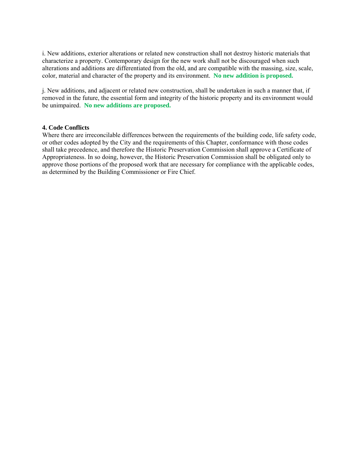i. New additions, exterior alterations or related new construction shall not destroy historic materials that characterize a property. Contemporary design for the new work shall not be discouraged when such alterations and additions are differentiated from the old, and are compatible with the massing, size, scale, color, material and character of the property and its environment. **No new addition is proposed.** 

j. New additions, and adjacent or related new construction, shall be undertaken in such a manner that, if removed in the future, the essential form and integrity of the historic property and its environment would be unimpaired. **No new additions are proposed.** 

#### **4. Code Conflicts**

Where there are irreconcilable differences between the requirements of the building code, life safety code, or other codes adopted by the City and the requirements of this Chapter, conformance with those codes shall take precedence, and therefore the Historic Preservation Commission shall approve a Certificate of Appropriateness. In so doing, however, the Historic Preservation Commission shall be obligated only to approve those portions of the proposed work that are necessary for compliance with the applicable codes, as determined by the Building Commissioner or Fire Chief.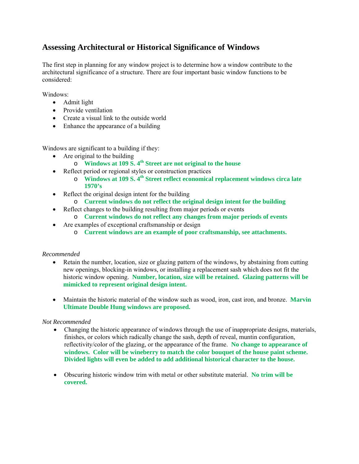# **Assessing Architectural or Historical Significance of Windows**

The first step in planning for any window project is to determine how a window contribute to the architectural significance of a structure. There are four important basic window functions to be considered:

Windows:

- Admit light
- Provide ventilation
- Create a visual link to the outside world
- Enhance the appearance of a building

Windows are significant to a building if they:

- Are original to the building
	- o **Windows at 109 S. 4th Street are not original to the house**
- Reflect period or regional styles or construction practices
	- o **Windows at 109 S. 4th Street reflect economical replacement windows circa late 1970's**
- Reflect the original design intent for the building
	- o **Current windows do not reflect the original design intent for the building**
- Reflect changes to the building resulting from major periods or events
	- o **Current windows do not reflect any changes from major periods of events**
- Are examples of exceptional craftsmanship or design
	- o **Current windows are an example of poor craftsmanship, see attachments.**

#### *Recommended*

- Retain the number, location, size or glazing pattern of the windows, by abstaining from cutting new openings, blocking-in windows, or installing a replacement sash which does not fit the historic window opening. **Number, location, size will be retained. Glazing patterns will be mimicked to represent original design intent.**
- Maintain the historic material of the window such as wood, iron, cast iron, and bronze. **Marvin Ultimate Double Hung windows are proposed.**

#### *Not Recommended*

- Changing the historic appearance of windows through the use of inappropriate designs, materials, finishes, or colors which radically change the sash, depth of reveal, muntin configuration, reflectivity/color of the glazing, or the appearance of the frame. **No change to appearance of windows. Color will be wineberry to match the color bouquet of the house paint scheme. Divided lights will even be added to add additional historical character to the house.**
- Obscuring historic window trim with metal or other substitute material. **No trim will be covered.**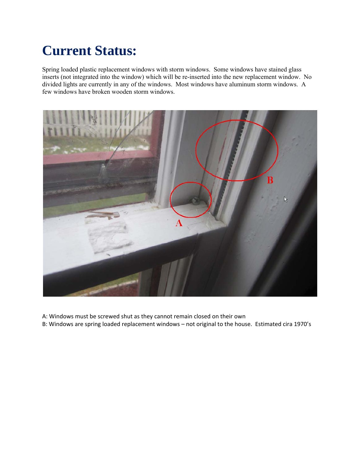# **Current Status:**

Spring loaded plastic replacement windows with storm windows. Some windows have stained glass inserts (not integrated into the window) which will be re-inserted into the new replacement window. No divided lights are currently in any of the windows. Most windows have aluminum storm windows. A few windows have broken wooden storm windows.



A: Windows must be screwed shut as they cannot remain closed on their own

B: Windows are spring loaded replacement windows – not original to the house. Estimated cira 1970's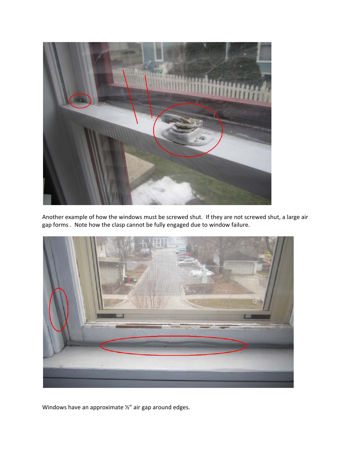

Another example of how the windows must be screwed shut. If they are not screwed shut, a large air gap forms . Note how the clasp cannot be fully engaged due to window failure.



Windows have an approximate ½" air gap around edges.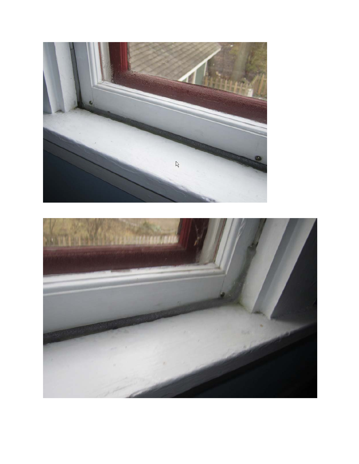

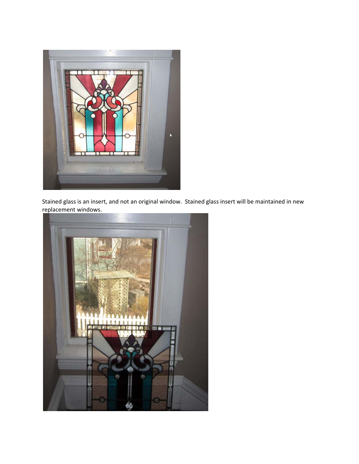

Stained glass is an insert, and not an original window. Stained glass insert will be maintained in new replacement windows.

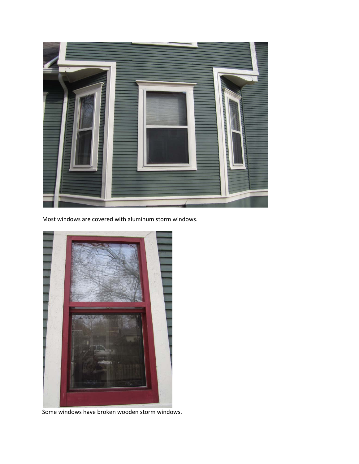

Most windows are covered with aluminum storm windows.



Some windows have broken wooden storm windows.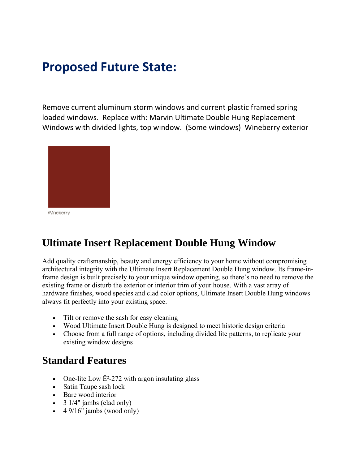# **Proposed Future State:**

Remove current aluminum storm windows and current plastic framed spring loaded windows. Replace with: Marvin Ultimate Double Hung Replacement Windows with divided lights, top window. (Some windows) Wineberry exterior



Wineberry

# **Ultimate Insert Replacement Double Hung Window**

Add quality craftsmanship, beauty and energy efficiency to your home without compromising architectural integrity with the Ultimate Insert Replacement Double Hung window. Its frame-inframe design is built precisely to your unique window opening, so there's no need to remove the existing frame or disturb the exterior or interior trim of your house. With a vast array of hardware finishes, wood species and clad color options, Ultimate Insert Double Hung windows always fit perfectly into your existing space.

- Tilt or remove the sash for easy cleaning
- Wood Ultimate Insert Double Hung is designed to meet historic design criteria
- Choose from a full range of options, including divided lite patterns, to replicate your existing window designs

# **Standard Features**

- One-lite Low  $\bar{E}^2$ -272 with argon insulating glass
- Satin Taupe sash lock
- Bare wood interior
- $\bullet$  3 1/4" jambs (clad only)
- $\bullet$  4 9/16" jambs (wood only)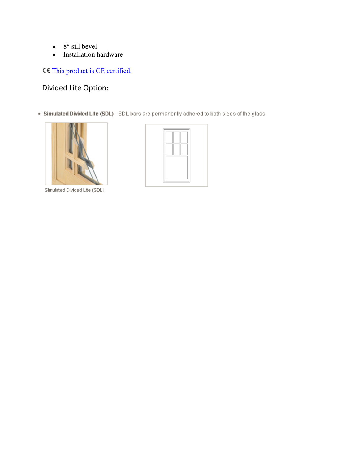- 8° sill bevel
- Installation hardware

**CE** This product is CE certified.

Divided Lite Option:

• Simulated Divided Lite (SDL) - SDL bars are permanently adhered to both sides of the glass.



Simulated Divided Lite (SDL)

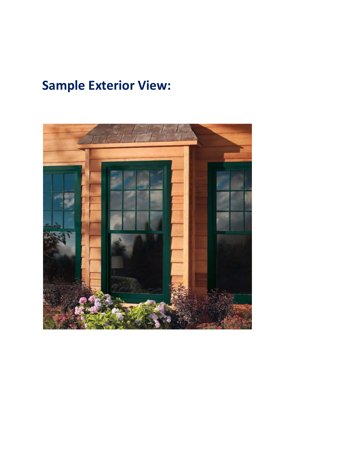# **Sample Exterior View:**

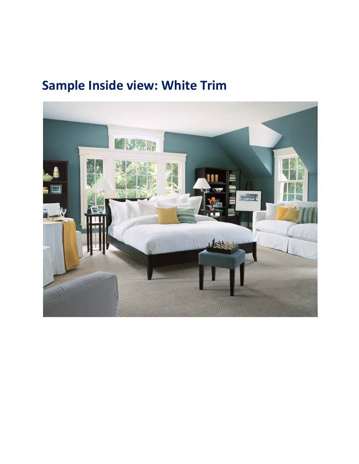# **Sample Inside view: White Trim**

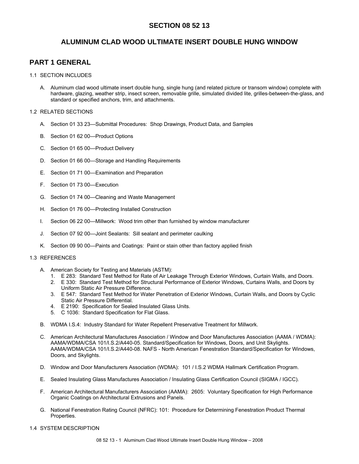## **SECTION 08 52 13**

## **ALUMINUM CLAD WOOD ULTIMATE INSERT DOUBLE HUNG WINDOW**

### **PART 1 GENERAL**

#### 1.1 SECTION INCLUDES

A. Aluminum clad wood ultimate insert double hung, single hung (and related picture or transom window) complete with hardware, glazing, weather strip, insect screen, removable grille, simulated divided lite, grilles-between-the-glass, and standard or specified anchors, trim, and attachments.

#### 1.2 RELATED SECTIONS

- A. Section 01 33 23—Submittal Procedures: Shop Drawings, Product Data, and Samples
- B. Section 01 62 00—Product Options
- C. Section 01 65 00—Product Delivery
- D. Section 01 66 00—Storage and Handling Requirements
- E. Section 01 71 00—Examination and Preparation
- F. Section 01 73 00—Execution
- G. Section 01 74 00—Cleaning and Waste Management
- H. Section 01 76 00—Protecting Installed Construction
- I. Section 06 22 00—Millwork: Wood trim other than furnished by window manufacturer
- J. Section 07 92 00—Joint Sealants: Sill sealant and perimeter caulking
- K. Section 09 90 00—Paints and Coatings: Paint or stain other than factory applied finish

#### 1.3 REFERENCES

- A. American Society for Testing and Materials (ASTM):
	- 1. E 283: Standard Test Method for Rate of Air Leakage Through Exterior Windows, Curtain Walls, and Doors.
	- 2. E 330: Standard Test Method for Structural Performance of Exterior Windows, Curtains Walls, and Doors by Uniform Static Air Pressure Difference.
	- 3. E 547: Standard Test Method for Water Penetration of Exterior Windows, Curtain Walls, and Doors by Cyclic Static Air Pressure Differential.
	- 4. E 2190: Specification for Sealed Insulated Glass Units.
	- 5. C 1036: Standard Specification for Flat Glass.
- B. WDMA I.S.4: Industry Standard for Water Repellent Preservative Treatment for Millwork.
- C. American Architectural Manufactures Association / Window and Door Manufactures Association (AAMA / WDMA): AAMA/WDMA/CSA 101/I.S.2/A440-05. Standard/Specification for Windows, Doors, and Unit Skylights. AAMA/WDMA/CSA 101/I.S.2/A440-08. NAFS - North American Fenestration Standard/Specification for Windows, Doors, and Skylights.
- D. Window and Door Manufacturers Association (WDMA): 101 / I.S.2 WDMA Hallmark Certification Program.
- E. Sealed Insulating Glass Manufactures Association / Insulating Glass Certification Council (SIGMA / IGCC).
- F. American Architectural Manufacturers Association (AAMA): 2605: Voluntary Specification for High Performance Organic Coatings on Architectural Extrusions and Panels.
- G. National Fenestration Rating Council (NFRC): 101: Procedure for Determining Fenestration Product Thermal Properties.
- 1.4 SYSTEM DESCRIPTION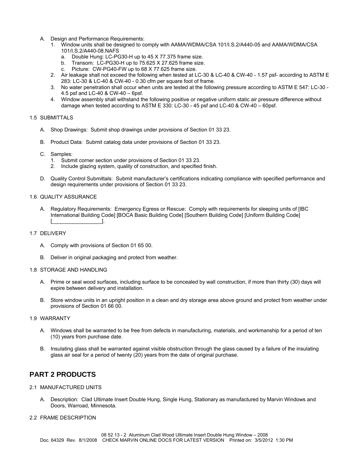- A. Design and Performance Requirements:
	- 1. Window units shall be designed to comply with AAMA/WDMA/CSA 101/I.S.2/A440-05 and AAMA/WDMA/CSA 101/I.S.2/A440-08.NAFS
		- a. Double Hung: LC-PG30-H up to 45 X 77.375 frame size.
		- b. Transom: LC-PG30-H up to 75.625 X 27.625 frame size.
		- c. Picture: CW-PG40-FW up to 68 X 77.625 frame size.
	- 2. Air leakage shall not exceed the following when tested at LC-30 & LC-40 & CW-40 1.57 psf- according to ASTM E 283: LC-30 & LC-40 & CW-40 - 0.30 cfm per square foot of frame.
	- 3. No water penetration shall occur when units are tested at the following pressure according to ASTM E 547: LC-30 4.5 psf and LC-40 & CW-40 – 6psf.
	- 4. Window assembly shall withstand the following positive or negative uniform static air pressure difference without damage when tested according to ASTM E 330: LC-30 - 45 psf and LC-40 & CW-40 – 60psf.

#### 1.5 SUBMITTALS

- A. Shop Drawings: Submit shop drawings under provisions of Section 01 33 23.
- B. Product Data: Submit catalog data under provisions of Section 01 33 23.
- C. Samples:
	- 1. Submit corner section under provisions of Section 01 33 23.
	- 2. Include glazing system, quality of construction, and specified finish.
- D. Quality Control Submittals: Submit manufacturer's certifications indicating compliance with specified performance and design requirements under provisions of Section 01 33 23.

#### 1.6 QUALITY ASSURANCE

A. Regulatory Requirements: Emergency Egress or Rescue: Comply with requirements for sleeping units of [IBC International Building Code] [BOCA Basic Building Code] [Southern Building Code] [Uniform Building Code]  $[$   $]$ .

#### 1.7 DELIVERY

- A. Comply with provisions of Section 01 65 00.
- B. Deliver in original packaging and protect from weather.

#### 1.8 STORAGE AND HANDLING

- A. Prime or seal wood surfaces, including surface to be concealed by wall construction, if more than thirty (30) days will expire between delivery and installation.
- B. Store window units in an upright position in a clean and dry storage area above ground and protect from weather under provisions of Section 01 66 00.

#### 1.9 WARRANTY

- A. Windows shall be warranted to be free from defects in manufacturing, materials, and workmanship for a period of ten (10) years from purchase date.
- B. Insulating glass shall be warranted against visible obstruction through the glass caused by a failure of the insulating glass air seal for a period of twenty (20) years from the date of original purchase.

### **PART 2 PRODUCTS**

#### 2.1 MANUFACTURED UNITS

A. Description: Clad Ultimate Insert Double Hung, Single Hung, Stationary as manufactured by Marvin Windows and Doors, Warroad, Minnesota.

#### 2.2 FRAME DESCRIPTION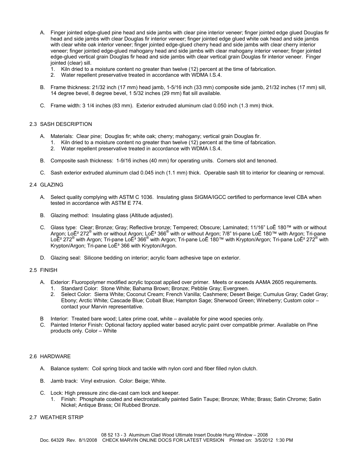- A. Finger jointed edge-glued pine head and side jambs with clear pine interior veneer; finger jointed edge glued Douglas fir head and side jambs with clear Douglas fir interior veneer; finger jointed edge glued white oak head and side jambs with clear white oak interior veneer; finger jointed edge-glued cherry head and side jambs with clear cherry interior veneer; finger jointed edge-glued mahogany head and side jambs with clear mahogany interior veneer; finger jointed edge-glued vertical grain Douglas fir head and side jambs with clear vertical grain Douglas fir interior veneer. Finger jointed (clear) sill.
	- 1. Kiln dried to a moisture content no greater than twelve (12) percent at the time of fabrication.
	- 2. Water repellent preservative treated in accordance with WDMA I.S.4.
- B. Frame thickness: 21/32 inch (17 mm) head jamb, 1-5/16 inch (33 mm) composite side jamb, 21/32 inches (17 mm) sill, 14 degree bevel, 8 degree bevel, 1 5/32 inches (29 mm) flat sill available.
- C. Frame width: 3 1/4 inches (83 mm). Exterior extruded aluminum clad 0.050 inch (1.3 mm) thick.

#### 2.3 SASH DESCRIPTION

- A. Materials: Clear pine; Douglas fir; white oak; cherry; mahogany; vertical grain Douglas fir.
	- 1. Kiln dried to a moisture content no greater than twelve (12) percent at the time of fabrication.
		- 2. Water repellent preservative treated in accordance with WDMA I.S.4.
- B. Composite sash thickness: 1-9/16 inches (40 mm) for operating units. Corners slot and tenoned.
- C. Sash exterior extruded aluminum clad 0.045 inch (1.1 mm) thick. Operable sash tilt to interior for cleaning or removal.

#### 2.4 GLAZING

- A. Select quality complying with ASTM C 1036. Insulating glass SIGMA/IGCC certified to performance level CBA when tested in accordance with ASTM E 774.
- B. Glazing method: Insulating glass (Altitude adjusted).
- C. Glass type: Clear; Bronze; Gray; Reflective bronze; Tempered; Obscure; Laminated; 11/16" LoĒ 180™ with or without Argon; LoĒ<sup>2</sup> 272<sup>®</sup> with or without Argon; LoĒ<sup>з</sup> 366<sup>®</sup> with or without Argon; 7/8" tri-pane LoĒ 180™ with Argon; Tri-pane LoĒ̃² 272® with Argon; Tri-pane LoĒ<sup>s</sup> 366® with Argon; Tri-pane LoĒ 180™ with Krypton/Argon; Tri-pane LoDz 272<sup>®</sup> with Krypton/Argon; Tri-pane LoĒ<sup>3</sup> 366 with Krypton/Argon.
- D. Glazing seal: Silicone bedding on interior; acrylic foam adhesive tape on exterior.

#### 2.5 FINISH

- A. Exterior: Fluoropolymer modified acrylic topcoat applied over primer. Meets or exceeds AAMA 2605 requirements. 1. Standard Color: Stone White; Bahama Brown; Bronze; Pebble Gray; Evergreen.
	- 2. Select Color: Sierra White; Coconut Cream; French Vanilla; Cashmere; Desert Beige; Cumulus Gray; Cadet Gray; Ebony; Arctic White; Cascade Blue; Cobalt Blue; Hampton Sage; Sherwood Green; Wineberry; Custom color – contact your Marvin representative.
- B Interior: Treated bare wood; Latex prime coat, white available for pine wood species only.
- C. Painted Interior Finish: Optional factory applied water based acrylic paint over compatible primer. Available on Pine products only. Color – White

#### 2.6 HARDWARE

- A. Balance system: Coil spring block and tackle with nylon cord and fiber filled nylon clutch.
- B. Jamb track: Vinyl extrusion. Color: Beige; White.
- C. Lock: High pressure zinc die-cast cam lock and keeper.
	- 1. Finish: Phosphate coated and electrostatically painted Satin Taupe; Bronze; White; Brass; Satin Chrome; Satin Nickel; Antique Brass; Oil Rubbed Bronze.

#### 2.7 WEATHER STRIP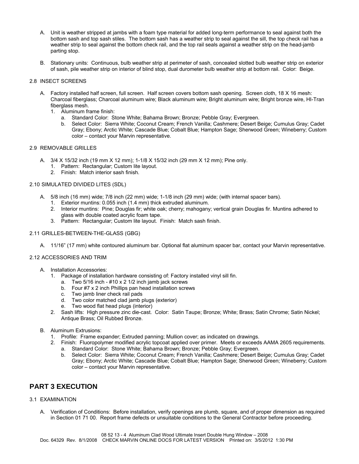- A. Unit is weather stripped at jambs with a foam type material for added long-term performance to seal against both the bottom sash and top sash stiles. The bottom sash has a weather strip to seal against the sill, the top check rail has a weather strip to seal against the bottom check rail, and the top rail seals against a weather strip on the head-jamb parting stop.
- B. Stationary units: Continuous, bulb weather strip at perimeter of sash, concealed slotted bulb weather strip on exterior of sash, pile weather strip on interior of blind stop, dual durometer bulb weather strip at bottom rail. Color: Beige.

#### 2.8 INSECT SCREENS

- A. Factory installed half screen, full screen. Half screen covers bottom sash opening. Screen cloth, 18 X 16 mesh: Charcoal fiberglass; Charcoal aluminum wire; Black aluminum wire; Bright aluminum wire; Bright bronze wire, HI-Tran fiberglass mesh.
	- 1. Aluminum frame finish:
		- a. Standard Color: Stone White; Bahama Brown; Bronze; Pebble Gray; Evergreen.
		- b. Select Color: Sierra White; Coconut Cream; French Vanilla; Cashmere; Desert Beige; Cumulus Gray; Cadet Gray; Ebony; Arctic White; Cascade Blue; Cobalt Blue; Hampton Sage; Sherwood Green; Wineberry; Custom color – contact your Marvin representative.

#### 2.9 REMOVABLE GRILLES

- A. 3/4 X 15/32 inch (19 mm X 12 mm); 1-1/8 X 15/32 inch (29 mm X 12 mm); Pine only.
	- 1. Pattern: Rectangular; Custom lite layout.
	- 2. Finish: Match interior sash finish.

#### 2.10 SIMULATED DIVIDED LITES (SDL)

- A. 5/8 inch (16 mm) wide; 7/8 inch (22 mm) wide; 1-1/8 inch (29 mm) wide; (with internal spacer bars).
	- 1. Exterior muntins: 0.055 inch (1.4 mm) thick extruded aluminum.
	- 2. Interior muntins: Pine; Douglas fir; white oak; cherry; mahogany; vertical grain Douglas fir. Muntins adhered to glass with double coated acrylic foam tape.
	- 3. Pattern: Rectangular; Custom lite layout. Finish: Match sash finish.
- 2.11 GRILLES-BETWEEN-THE-GLASS (GBG)
	- A. 11/16" (17 mm) white contoured aluminum bar. Optional flat aluminum spacer bar, contact your Marvin representative.

#### 2.12 ACCESSORIES AND TRIM

- A. Installation Accessories:
	- 1. Package of installation hardware consisting of: Factory installed vinyl sill fin.
		- a. Two  $5/16$  inch  $\#10 \times 2$  1/2 inch jamb jack screws
		- b. Four #7 x 2 inch Phillips pan head installation screws
		- c. Two jamb liner check rail pads
		- d. Two color matched clad jamb plugs (exterior)
		- e. Two wood flat head plugs (interior)
	- 2. Sash lifts: High pressure zinc die-cast. Color: Satin Taupe; Bronze; White; Brass; Satin Chrome; Satin Nickel; Antique Brass; Oil Rubbed Bronze.
- B. Aluminum Extrusions:
	- 1. Profile: Frame expander; Extruded panning; Mullion cover; as indicated on drawings.
	- 2. Finish: Fluoropolymer modified acrylic topcoat applied over primer. Meets or exceeds AAMA 2605 requirements. a. Standard Color: Stone White; Bahama Brown; Bronze; Pebble Gray; Evergreen.
		- b. Select Color: Sierra White; Coconut Cream; French Vanilla; Cashmere; Desert Beige; Cumulus Gray; Cadet Gray; Ebony; Arctic White; Cascade Blue; Cobalt Blue; Hampton Sage; Sherwood Green; Wineberry; Custom color – contact your Marvin representative.

## **PART 3 EXECUTION**

#### 3.1 EXAMINATION

A. Verification of Conditions: Before installation, verify openings are plumb, square, and of proper dimension as required in Section 01 71 00. Report frame defects or unsuitable conditions to the General Contractor before proceeding.